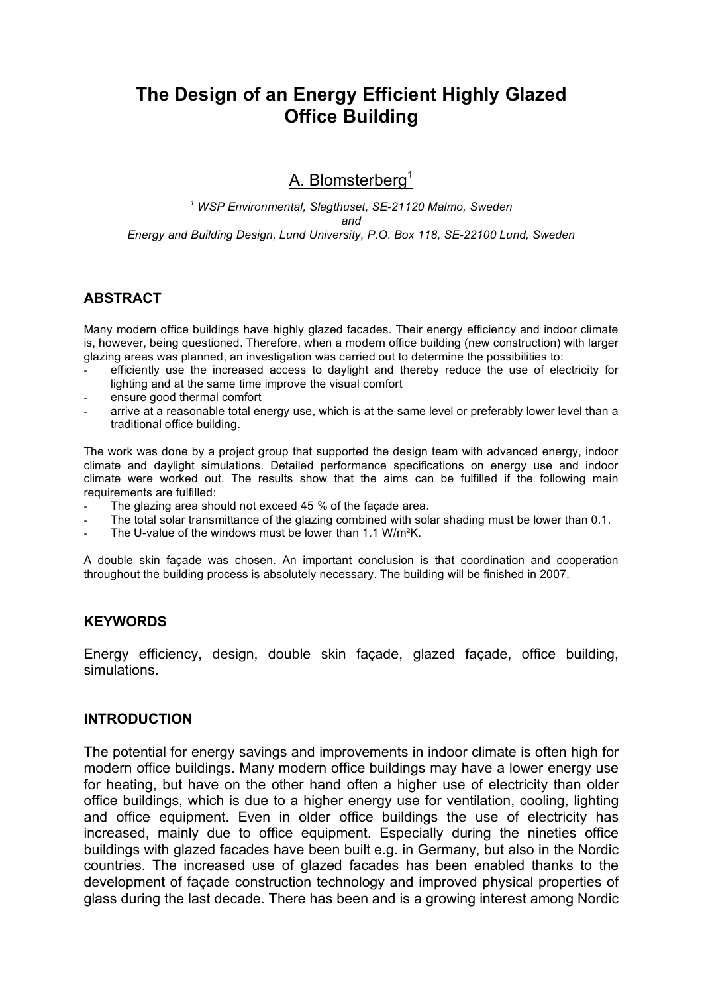# **The Design of an Energy Efficient Highly Glazed Office Building**

# A. Blomsterberg<sup>1</sup>

*<sup>1</sup> WSP Environmental, Slagthuset, SE-21120 Malmo, Sweden and Energy and Building Design, Lund University, P.O. Box 118, SE-22100 Lund, Sweden*

## **ABSTRACT**

Many modern office buildings have highly glazed facades. Their energy efficiency and indoor climate is, however, being questioned. Therefore, when a modern office building (new construction) with larger glazing areas was planned, an investigation was carried out to determine the possibilities to:

- efficiently use the increased access to daylight and thereby reduce the use of electricity for lighting and at the same time improve the visual comfort
- ensure good thermal comfort
- arrive at a reasonable total energy use, which is at the same level or preferably lower level than a traditional office building.

The work was done by a project group that supported the design team with advanced energy, indoor climate and daylight simulations. Detailed performance specifications on energy use and indoor climate were worked out. The results show that the aims can be fulfilled if the following main requirements are fulfilled:

- The glazing area should not exceed 45 % of the façade area.
- The total solar transmittance of the glazing combined with solar shading must be lower than 0.1.
- The U-value of the windows must be lower than 1.1 W/m<sup>2</sup>K.

A double skin façade was chosen. An important conclusion is that coordination and cooperation throughout the building process is absolutely necessary. The building will be finished in 2007.

#### **KEYWORDS**

Energy efficiency, design, double skin façade, glazed façade, office building, simulations.

#### **INTRODUCTION**

The potential for energy savings and improvements in indoor climate is often high for modern office buildings. Many modern office buildings may have a lower energy use for heating, but have on the other hand often a higher use of electricity than older office buildings, which is due to a higher energy use for ventilation, cooling, lighting and office equipment. Even in older office buildings the use of electricity has increased, mainly due to office equipment. Especially during the nineties office buildings with glazed facades have been built e.g. in Germany, but also in the Nordic countries. The increased use of glazed facades has been enabled thanks to the development of façade construction technology and improved physical properties of glass during the last decade. There has been and is a growing interest among Nordic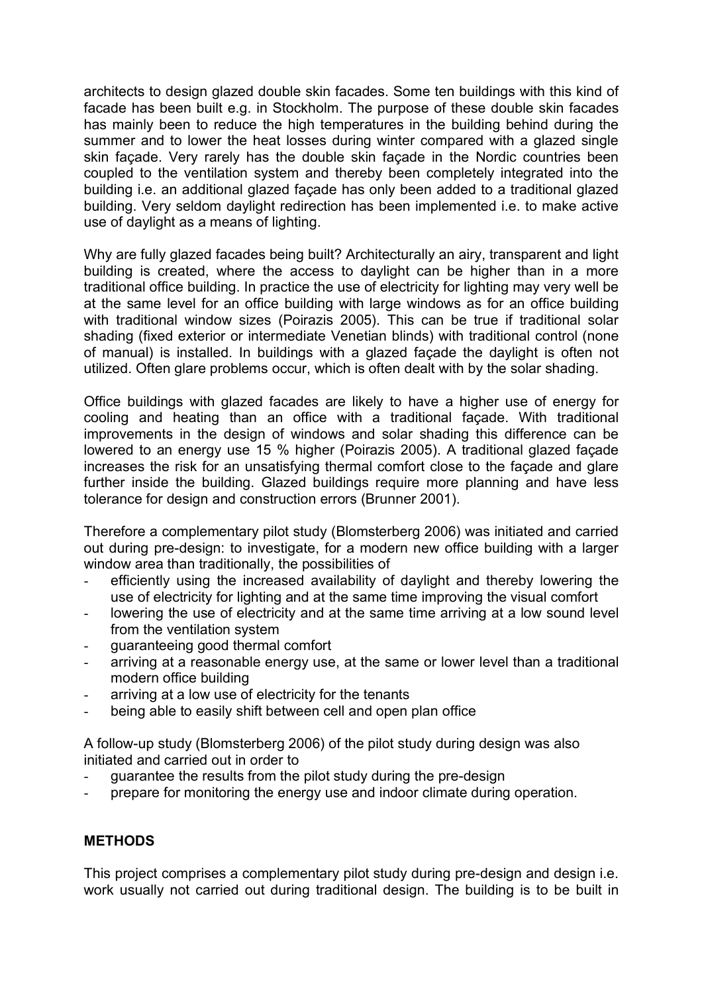architects to design glazed double skin facades. Some ten buildings with this kind of facade has been built e.g. in Stockholm. The purpose of these double skin facades has mainly been to reduce the high temperatures in the building behind during the summer and to lower the heat losses during winter compared with a glazed single skin façade. Very rarely has the double skin façade in the Nordic countries been coupled to the ventilation system and thereby been completely integrated into the building i.e. an additional glazed façade has only been added to a traditional glazed building. Very seldom daylight redirection has been implemented i.e. to make active use of daylight as a means of lighting.

Why are fully glazed facades being built? Architecturally an airy, transparent and light building is created, where the access to daylight can be higher than in a more traditional office building. In practice the use of electricity for lighting may very well be at the same level for an office building with large windows as for an office building with traditional window sizes (Poirazis 2005). This can be true if traditional solar shading (fixed exterior or intermediate Venetian blinds) with traditional control (none of manual) is installed. In buildings with a glazed façade the daylight is often not utilized. Often glare problems occur, which is often dealt with by the solar shading.

Office buildings with glazed facades are likely to have a higher use of energy for cooling and heating than an office with a traditional façade. With traditional improvements in the design of windows and solar shading this difference can be lowered to an energy use 15 % higher (Poirazis 2005). A traditional glazed façade increases the risk for an unsatisfying thermal comfort close to the façade and glare further inside the building. Glazed buildings require more planning and have less tolerance for design and construction errors (Brunner 2001).

Therefore a complementary pilot study (Blomsterberg 2006) was initiated and carried out during pre-design: to investigate, for a modern new office building with a larger window area than traditionally, the possibilities of

- efficiently using the increased availability of daylight and thereby lowering the use of electricity for lighting and at the same time improving the visual comfort
- lowering the use of electricity and at the same time arriving at a low sound level from the ventilation system
- guaranteeing good thermal comfort
- arriving at a reasonable energy use, at the same or lower level than a traditional modern office building
- arriving at a low use of electricity for the tenants
- being able to easily shift between cell and open plan office

A follow-up study (Blomsterberg 2006) of the pilot study during design was also initiated and carried out in order to

- guarantee the results from the pilot study during the pre-design
- prepare for monitoring the energy use and indoor climate during operation.

## **METHODS**

This project comprises a complementary pilot study during pre-design and design i.e. work usually not carried out during traditional design. The building is to be built in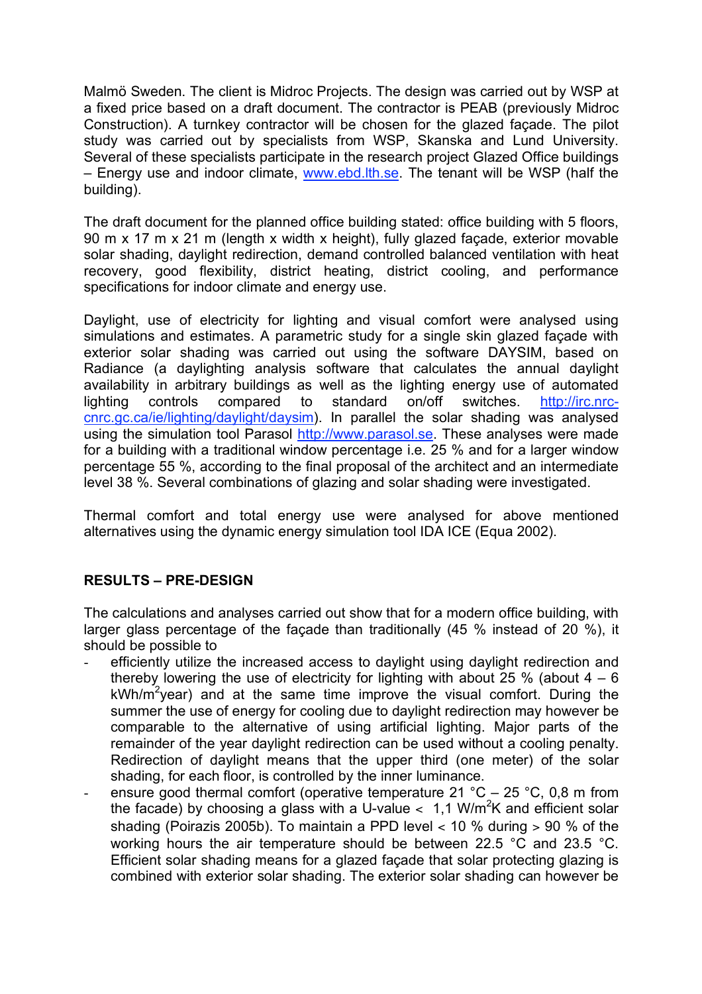Malmö Sweden. The client is Midroc Projects. The design was carried out by WSP at a fixed price based on a draft document. The contractor is PEAB (previously Midroc Construction). A turnkey contractor will be chosen for the glazed façade. The pilot study was carried out by specialists from WSP, Skanska and Lund University. Several of these specialists participate in the research project Glazed Office buildings – Energy use and indoor climate, www.ebd.lth.se. The tenant will be WSP (half the building).

The draft document for the planned office building stated: office building with 5 floors, 90 m x 17 m x 21 m (length x width x height), fully glazed façade, exterior movable solar shading, daylight redirection, demand controlled balanced ventilation with heat recovery, good flexibility, district heating, district cooling, and performance specifications for indoor climate and energy use.

Daylight, use of electricity for lighting and visual comfort were analysed using simulations and estimates. A parametric study for a single skin glazed façade with exterior solar shading was carried out using the software DAYSIM, based on Radiance (a daylighting analysis software that calculates the annual daylight availability in arbitrary buildings as well as the lighting energy use of automated lighting controls compared to standard on/off switches. http://irc.nrccnrc.gc.ca/ie/lighting/daylight/daysim). In parallel the solar shading was analysed using the simulation tool Parasol http://www.parasol.se. These analyses were made for a building with a traditional window percentage i.e. 25 % and for a larger window percentage 55 %, according to the final proposal of the architect and an intermediate level 38 %. Several combinations of glazing and solar shading were investigated.

Thermal comfort and total energy use were analysed for above mentioned alternatives using the dynamic energy simulation tool IDA ICE (Equa 2002).

## **RESULTS – PRE-DESIGN**

The calculations and analyses carried out show that for a modern office building, with larger glass percentage of the façade than traditionally (45 % instead of 20 %), it should be possible to

- efficiently utilize the increased access to daylight using daylight redirection and thereby lowering the use of electricity for lighting with about  $25\%$  (about  $4-6$ ) kWh/m<sup>2</sup>year) and at the same time improve the visual comfort. During the summer the use of energy for cooling due to daylight redirection may however be comparable to the alternative of using artificial lighting. Major parts of the remainder of the year daylight redirection can be used without a cooling penalty. Redirection of daylight means that the upper third (one meter) of the solar shading, for each floor, is controlled by the inner luminance.
- ensure good thermal comfort (operative temperature 21 °C 25 °C, 0,8 m from the facade) by choosing a glass with a U-value  $<$  1,1 W/m<sup>2</sup>K and efficient solar shading (Poirazis 2005b). To maintain a PPD level  $<$  10 % during  $>$  90 % of the working hours the air temperature should be between 22.5 °C and 23.5 °C. Efficient solar shading means for a glazed facade that solar protecting glazing is combined with exterior solar shading. The exterior solar shading can however be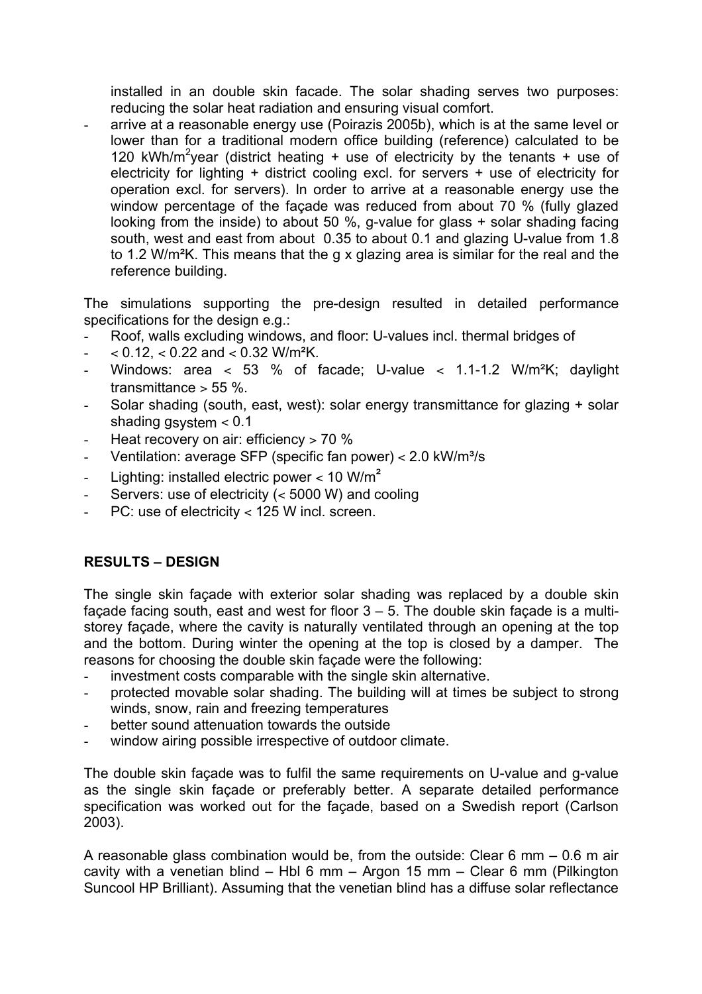installed in an double skin facade. The solar shading serves two purposes: reducing the solar heat radiation and ensuring visual comfort.

arrive at a reasonable energy use (Poirazis 2005b), which is at the same level or lower than for a traditional modern office building (reference) calculated to be 120 kWh/m<sup>2</sup>year (district heating + use of electricity by the tenants + use of electricity for lighting + district cooling excl. for servers + use of electricity for operation excl. for servers). In order to arrive at a reasonable energy use the window percentage of the façade was reduced from about 70 % (fully glazed looking from the inside) to about 50 %, g-value for glass + solar shading facing south, west and east from about 0.35 to about 0.1 and glazing U-value from 1.8 to 1.2 W/m²K. This means that the g x glazing area is similar for the real and the reference building.

The simulations supporting the pre-design resulted in detailed performance specifications for the design e.g.:

- Roof, walls excluding windows, and floor: U-values incl. thermal bridges of
- $-$  < 0.12, < 0.22 and < 0.32 W/m<sup>2</sup>K.
- Windows: area  $<$  53 % of facade; U-value  $<$  1.1-1.2 W/m<sup>2</sup>K; daylight transmittance  $> 55$  %.
- Solar shading (south, east, west): solar energy transmittance for glazing + solar shading gsystem < 0.1
- Heat recovery on air: efficiency > 70 %
- Ventilation: average SFP (specific fan power) < 2.0 kW/m<sup>3</sup>/s
- Lighting: installed electric power  $<$  10 W/m<sup>2</sup>
- Servers: use of electricity (< 5000 W) and cooling
- PC: use of electricity < 125 W incl. screen.

## **RESULTS – DESIGN**

The single skin façade with exterior solar shading was replaced by a double skin façade facing south, east and west for floor  $3 - 5$ . The double skin façade is a multistorey façade, where the cavity is naturally ventilated through an opening at the top and the bottom. During winter the opening at the top is closed by a damper. The reasons for choosing the double skin façade were the following:

- investment costs comparable with the single skin alternative.
- protected movable solar shading. The building will at times be subject to strong winds, snow, rain and freezing temperatures
- better sound attenuation towards the outside
- window airing possible irrespective of outdoor climate.

The double skin façade was to fulfil the same requirements on U-value and g-value as the single skin façade or preferably better. A separate detailed performance specification was worked out for the façade, based on a Swedish report (Carlson 2003).

A reasonable glass combination would be, from the outside: Clear 6 mm – 0.6 m air cavity with a venetian blind – Hbl 6 mm – Argon 15 mm – Clear 6 mm (Pilkington Suncool HP Brilliant). Assuming that the venetian blind has a diffuse solar reflectance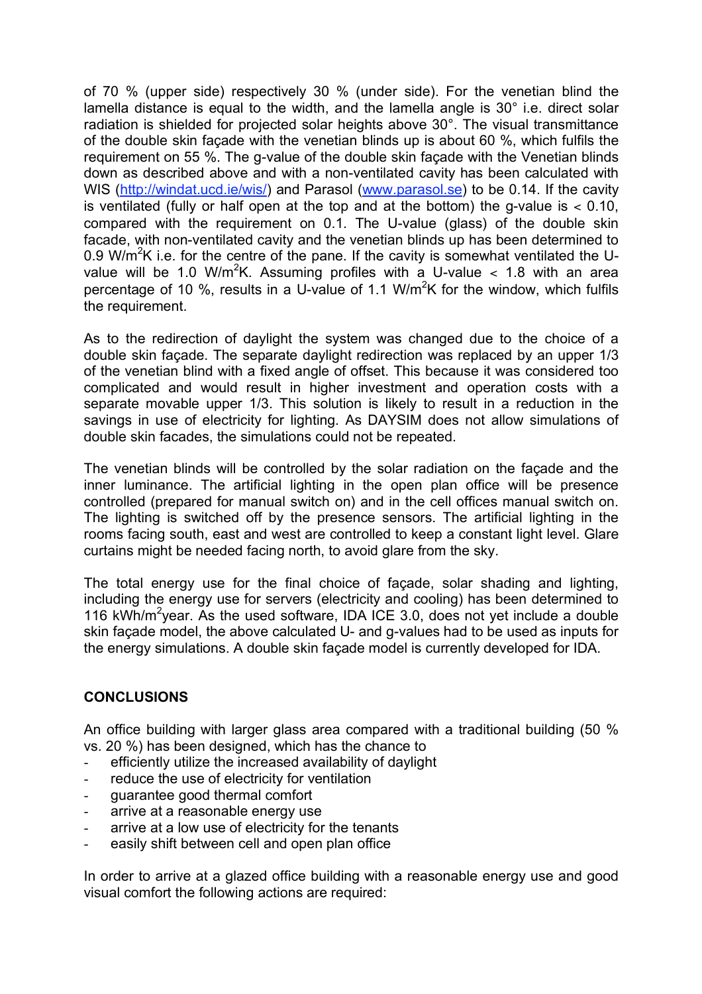of 70 % (upper side) respectively 30 % (under side). For the venetian blind the lamella distance is equal to the width, and the lamella angle is 30° i.e. direct solar radiation is shielded for projected solar heights above 30°. The visual transmittance of the double skin façade with the venetian blinds up is about 60 %, which fulfils the requirement on 55 %. The g-value of the double skin façade with the Venetian blinds down as described above and with a non-ventilated cavity has been calculated with WIS (http://windat.ucd.ie/wis/) and Parasol (www.parasol.se) to be 0.14. If the cavity is ventilated (fully or half open at the top and at the bottom) the g-value is  $< 0.10$ , compared with the requirement on 0.1. The U-value (glass) of the double skin facade, with non-ventilated cavity and the venetian blinds up has been determined to 0.9 W/m<sup>2</sup>K i.e. for the centre of the pane. If the cavity is somewhat ventilated the Uvalue will be 1.0 W/m<sup>2</sup>K. Assuming profiles with a U-value  $<$  1.8 with an area percentage of 10 %, results in a U-value of 1.1 W/m<sup>2</sup>K for the window, which fulfils the requirement.

As to the redirection of daylight the system was changed due to the choice of a double skin façade. The separate daylight redirection was replaced by an upper 1/3 of the venetian blind with a fixed angle of offset. This because it was considered too complicated and would result in higher investment and operation costs with a separate movable upper 1/3. This solution is likely to result in a reduction in the savings in use of electricity for lighting. As DAYSIM does not allow simulations of double skin facades, the simulations could not be repeated.

The venetian blinds will be controlled by the solar radiation on the façade and the inner luminance. The artificial lighting in the open plan office will be presence controlled (prepared for manual switch on) and in the cell offices manual switch on. The lighting is switched off by the presence sensors. The artificial lighting in the rooms facing south, east and west are controlled to keep a constant light level. Glare curtains might be needed facing north, to avoid glare from the sky.

The total energy use for the final choice of façade, solar shading and lighting, including the energy use for servers (electricity and cooling) has been determined to 116 kWh/m<sup>2</sup>year. As the used software, IDA ICE 3.0, does not yet include a double skin façade model, the above calculated U- and g-values had to be used as inputs for the energy simulations. A double skin façade model is currently developed for IDA.

## **CONCLUSIONS**

An office building with larger glass area compared with a traditional building (50 % vs. 20 %) has been designed, which has the chance to

- efficiently utilize the increased availability of daylight
- reduce the use of electricity for ventilation
- guarantee good thermal comfort
- arrive at a reasonable energy use
- arrive at a low use of electricity for the tenants
- easily shift between cell and open plan office

In order to arrive at a glazed office building with a reasonable energy use and good visual comfort the following actions are required: